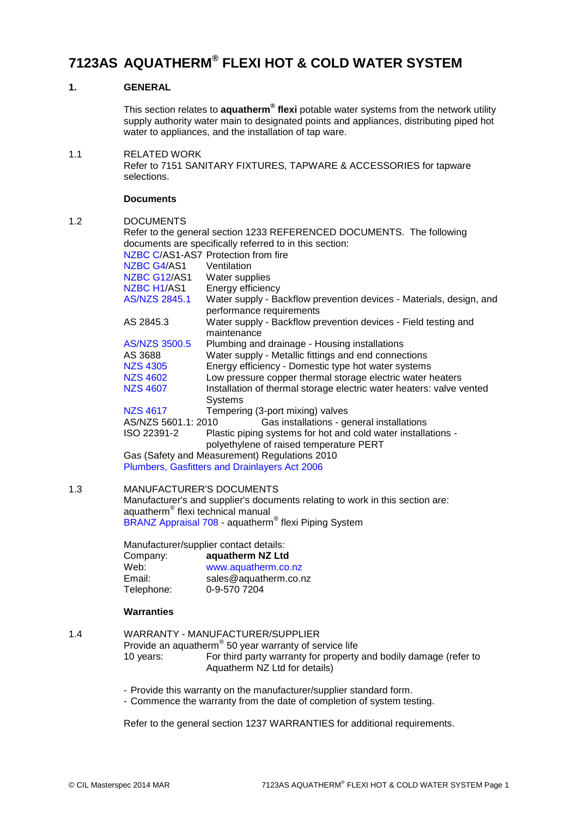# **7123AS AQUATHERM® FLEXI HOT & COLD WATER SYSTEM**

# **1. GENERAL**

This section relates to **aquatherm® flexi** potable water systems from the network utility supply authority water main to designated points and appliances, distributing piped hot water to appliances, and the installation of tap ware.

1.1 RELATED WORK Refer to 7151 SANITARY FIXTURES, TAPWARE & ACCESSORIES for tapware selections.

### **Documents**

1.2 DOCUMENTS

|     | Refer to the general section 1233 REFERENCED DOCUMENTS. The following                                                          |                                                                                                          |  |  |  |
|-----|--------------------------------------------------------------------------------------------------------------------------------|----------------------------------------------------------------------------------------------------------|--|--|--|
|     | documents are specifically referred to in this section:                                                                        |                                                                                                          |  |  |  |
|     |                                                                                                                                | NZBC C/AS1-AS7 Protection from fire                                                                      |  |  |  |
|     | NZBC G4/AS1                                                                                                                    | Ventilation                                                                                              |  |  |  |
|     | NZBC G12/AS1                                                                                                                   | Water supplies                                                                                           |  |  |  |
|     | NZBC H1/AS1                                                                                                                    | Energy efficiency                                                                                        |  |  |  |
|     | <b>AS/NZS 2845.1</b>                                                                                                           | Water supply - Backflow prevention devices - Materials, design, and<br>performance requirements          |  |  |  |
|     | AS 2845.3                                                                                                                      | Water supply - Backflow prevention devices - Field testing and<br>maintenance                            |  |  |  |
|     | <b>AS/NZS 3500.5</b>                                                                                                           | Plumbing and drainage - Housing installations                                                            |  |  |  |
|     | AS 3688                                                                                                                        | Water supply - Metallic fittings and end connections                                                     |  |  |  |
|     | <b>NZS 4305</b>                                                                                                                | Energy efficiency - Domestic type hot water systems                                                      |  |  |  |
|     | <b>NZS 4602</b>                                                                                                                | Low pressure copper thermal storage electric water heaters                                               |  |  |  |
|     | <b>NZS 4607</b>                                                                                                                | Installation of thermal storage electric water heaters: valve vented<br><b>Systems</b>                   |  |  |  |
|     | <b>NZS 4617</b>                                                                                                                | Tempering (3-port mixing) valves                                                                         |  |  |  |
|     | AS/NZS 5601.1: 2010<br>Gas installations - general installations                                                               |                                                                                                          |  |  |  |
|     | ISO 22391-2                                                                                                                    | Plastic piping systems for hot and cold water installations -<br>polyethylene of raised temperature PERT |  |  |  |
|     |                                                                                                                                | Gas (Safety and Measurement) Regulations 2010                                                            |  |  |  |
|     |                                                                                                                                | Plumbers, Gasfitters and Drainlayers Act 2006                                                            |  |  |  |
| 1.3 | <b>MANUFACTURER'S DOCUMENTS</b>                                                                                                |                                                                                                          |  |  |  |
|     | Manufacturer's and supplier's documents relating to work in this section are:<br>aquatherm <sup>®</sup> flexi technical manual |                                                                                                          |  |  |  |
|     | BRANZ Appraisal 708 - aquatherm <sup>®</sup> flexi Piping System                                                               |                                                                                                          |  |  |  |
|     | Manufacturer/supplier contact details:                                                                                         |                                                                                                          |  |  |  |
|     | Company:                                                                                                                       | aquatherm NZ Ltd                                                                                         |  |  |  |
|     | Web:                                                                                                                           | www.aquatherm.co.nz                                                                                      |  |  |  |
|     | Email:                                                                                                                         | sales@aquatherm.co.nz                                                                                    |  |  |  |
|     | Telephone:                                                                                                                     | 0-9-570 7204                                                                                             |  |  |  |
|     | <b>Warranties</b>                                                                                                              |                                                                                                          |  |  |  |
| 1.4 | WARRANTY - MANUFACTURER/SUPPLIER                                                                                               |                                                                                                          |  |  |  |
|     |                                                                                                                                | Provide an aquatherm <sup>®</sup> 50 year warranty of service life                                       |  |  |  |
|     | 10 years:                                                                                                                      | For third party warranty for property and bodily damage (refer to<br>Aquatherm NZ Ltd for details)       |  |  |  |

- Provide this warranty on the manufacturer/supplier standard form.

- Commence the warranty from the date of completion of system testing.

Refer to the general section 1237 WARRANTIES for additional requirements.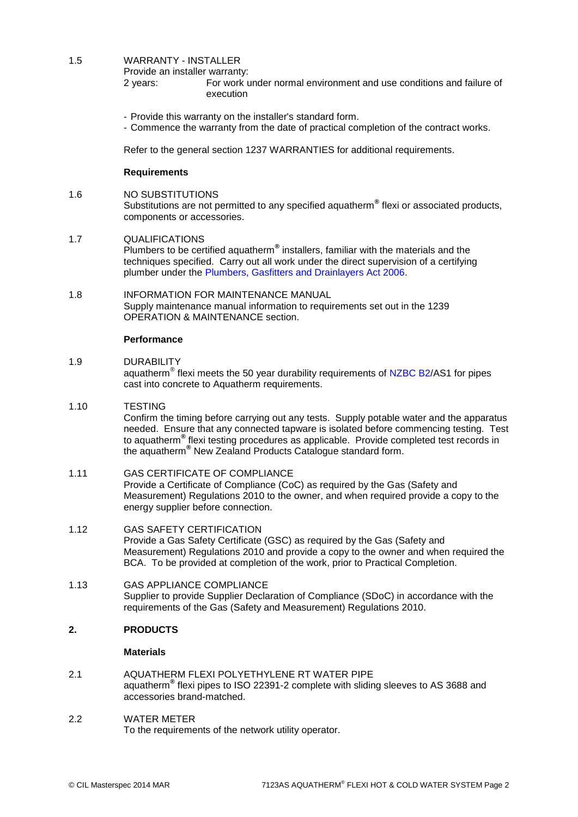## 1.5 WARRANTY - INSTALLER

Provide an installer warranty:

- 2 years: For work under normal environment and use conditions and failure of execution
- Provide this warranty on the installer's standard form.
- Commence the warranty from the date of practical completion of the contract works.

Refer to the general section 1237 WARRANTIES for additional requirements.

### **Requirements**

1.6 NO SUBSTITUTIONS

Substitutions are not permitted to any specified aquatherm**®** flexi or associated products, components or accessories.

### 1.7 QUALIFICATIONS

Plumbers to be certified aquatherm**®** installers, familiar with the materials and the techniques specified. Carry out all work under the direct supervision of a certifying plumber under the [Plumbers, Gasfitters and Drainlayers Act 2006.](http://www.masterspec.co.nz/redirect.aspx?pl=1207)

## 1.8 INFORMATION FOR MAINTENANCE MANUAL Supply maintenance manual information to requirements set out in the 1239 OPERATION & MAINTENANCE section.

### **Performance**

1.9 DURABILITY

aquatherm<sup>®</sup> flexi meets the 50 year durability requirements of [NZBC B2/](http://www.masterspec.co.nz/redirect.aspx?pl=223)AS1 for pipes cast into concrete to Aquatherm requirements.

1.10 TESTING

Confirm the timing before carrying out any tests. Supply potable water and the apparatus needed. Ensure that any connected tapware is isolated before commencing testing. Test to aquatherm**®** flexi testing procedures as applicable. Provide completed test records in the aquatherm**®** New Zealand Products Catalogue standard form.

### 1.11 GAS CERTIFICATE OF COMPLIANCE

Provide a Certificate of Compliance (CoC) as required by the Gas (Safety and Measurement) Regulations 2010 to the owner, and when required provide a copy to the energy supplier before connection.

- 1.12 GAS SAFETY CERTIFICATION Provide a Gas Safety Certificate (GSC) as required by the Gas (Safety and Measurement) Regulations 2010 and provide a copy to the owner and when required the BCA. To be provided at completion of the work, prior to Practical Completion.
- 1.13 GAS APPLIANCE COMPLIANCE Supplier to provide Supplier Declaration of Compliance (SDoC) in accordance with the requirements of the Gas (Safety and Measurement) Regulations 2010.

### **2. PRODUCTS**

### **Materials**

2.1 AQUATHERM FLEXI POLYETHYLENE RT WATER PIPE aquatherm**®** flexi pipes to ISO 22391-2 complete with sliding sleeves to AS 3688 and accessories brand-matched.

### 2.2 WATER METER

To the requirements of the network utility operator.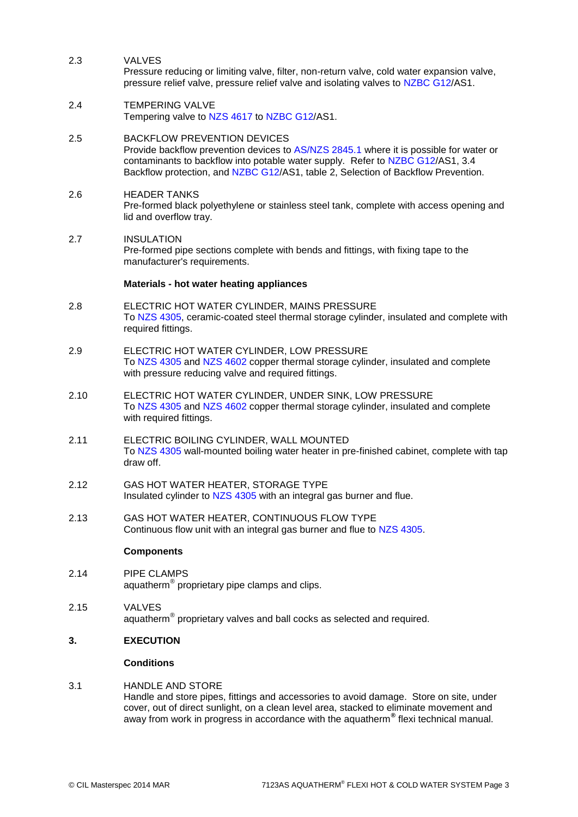## 2.3 VALVES

Pressure reducing or limiting valve, filter, non-return valve, cold water expansion valve, pressure relief valve, pressure relief valve and isolating valves to [NZBC G12/](http://www.masterspec.co.nz/redirect.aspx?pl=254)AS1.

2.4 TEMPERING VALVE Tempering valve to [NZS 4617](http://www.masterspec.co.nz/redirect.aspx?pl=525) to [NZBC G12/](http://www.masterspec.co.nz/redirect.aspx?pl=254)AS1.

# 2.5 BACKFLOW PREVENTION DEVICES

Provide backflow prevention devices to [AS/NZS 2845.1](http://www.masterspec.co.nz/redirect.aspx?pl=553) where it is possible for water or contaminants to backflow into potable water supply. Refer to [NZBC G12/](http://www.masterspec.co.nz/redirect.aspx?pl=254)AS1, 3.4 Backflow protection, and [NZBC G12/](http://www.masterspec.co.nz/redirect.aspx?pl=254)AS1, table 2, Selection of Backflow Prevention.

### 2.6 HEADER TANKS Pre-formed black polyethylene or stainless steel tank, complete with access opening and lid and overflow tray.

# 2.7 INSULATION

Pre-formed pipe sections complete with bends and fittings, with fixing tape to the manufacturer's requirements.

### **Materials - hot water heating appliances**

- 2.8 ELECTRIC HOT WATER CYLINDER, MAINS PRESSURE To [NZS 4305,](http://www.masterspec.co.nz/redirect.aspx?pl=331) ceramic-coated steel thermal storage cylinder, insulated and complete with required fittings.
- 2.9 ELECTRIC HOT WATER CYLINDER, LOW PRESSURE To [NZS 4305](http://www.masterspec.co.nz/redirect.aspx?pl=331) and [NZS 4602](http://www.masterspec.co.nz/redirect.aspx?pl=448) copper thermal storage cylinder, insulated and complete with pressure reducing valve and required fittings.
- 2.10 ELECTRIC HOT WATER CYLINDER, UNDER SINK, LOW PRESSURE To [NZS 4305](http://www.masterspec.co.nz/redirect.aspx?pl=331) and [NZS 4602](http://www.masterspec.co.nz/redirect.aspx?pl=448) copper thermal storage cylinder, insulated and complete with required fittings.
- 2.11 ELECTRIC BOILING CYLINDER, WALL MOUNTED To [NZS 4305](http://www.masterspec.co.nz/redirect.aspx?pl=331) wall-mounted boiling water heater in pre-finished cabinet, complete with tap draw off.
- 2.12 GAS HOT WATER HEATER, STORAGE TYPE Insulated cylinder to [NZS 4305](http://www.masterspec.co.nz/redirect.aspx?pl=331) with an integral gas burner and flue.
- 2.13 GAS HOT WATER HEATER, CONTINUOUS FLOW TYPE Continuous flow unit with an integral gas burner and flue to [NZS 4305.](http://www.masterspec.co.nz/redirect.aspx?pl=331)

### **Components**

- 2.14 PIPE CLAMPS aquatherm® proprietary pipe clamps and clips.
- 2.15 VALVES aquatherm $^{\circledR}$  proprietary valves and ball cocks as selected and required.

### **3. EXECUTION**

### **Conditions**

### 3.1 HANDLE AND STORE Handle and store pipes, fittings and accessories to avoid damage. Store on site, under cover, out of direct sunlight, on a clean level area, stacked to eliminate movement and away from work in progress in accordance with the aquatherm**®** flexi technical manual.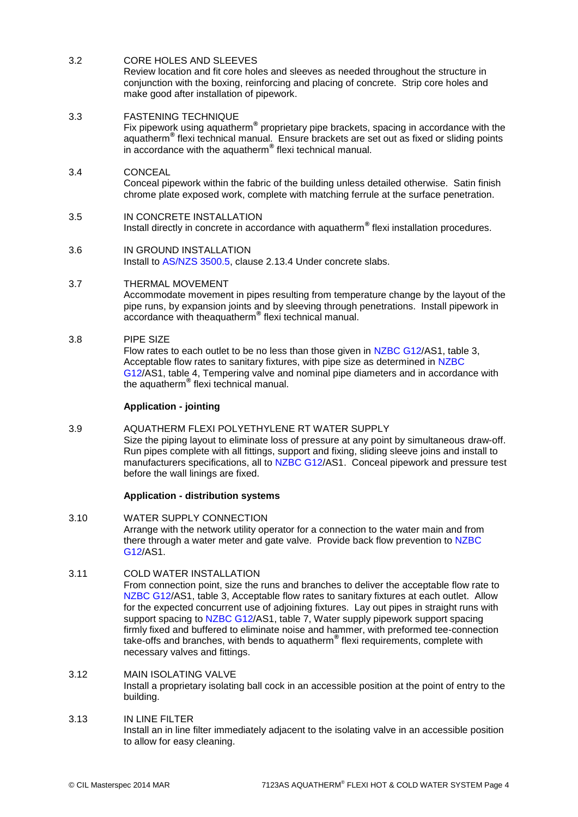# 3.2 CORE HOLES AND SLEEVES

Review location and fit core holes and sleeves as needed throughout the structure in conjunction with the boxing, reinforcing and placing of concrete. Strip core holes and make good after installation of pipework.

### 3.3 FASTENING TECHNIQUE

Fix pipework using aquatherm**®** proprietary pipe brackets, spacing in accordance with the aquatherm**®** flexi technical manual. Ensure brackets are set out as fixed or sliding points in accordance with the aquatherm**®** flexi technical manual.

# 3.4 CONCEAL

Conceal pipework within the fabric of the building unless detailed otherwise. Satin finish chrome plate exposed work, complete with matching ferrule at the surface penetration.

# 3.5 IN CONCRETE INSTALLATION

Install directly in concrete in accordance with aquatherm**®** flexi installation procedures.

# 3.6 IN GROUND INSTALLATION

Install to [AS/NZS 3500.5,](http://www.masterspec.co.nz/redirect.aspx?pl=928) clause 2.13.4 Under concrete slabs.

### 3.7 THERMAL MOVEMENT

Accommodate movement in pipes resulting from temperature change by the layout of the pipe runs, by expansion joints and by sleeving through penetrations. Install pipework in accordance with theaquatherm**®** flexi technical manual.

### 3.8 PIPE SIZE

Flow rates to each outlet to be no less than those given in [NZBC G12/](http://www.masterspec.co.nz/redirect.aspx?pl=254)AS1, table 3, Acceptable flow rates to sanitary fixtures, with pipe size as determined in [NZBC](http://www.masterspec.co.nz/redirect.aspx?pl=254)  [G12/](http://www.masterspec.co.nz/redirect.aspx?pl=254)AS1, table 4, Tempering valve and nominal pipe diameters and in accordance with the aquatherm**®** flexi technical manual.

### **Application - jointing**

### 3.9 AQUATHERM FLEXI POLYETHYLENE RT WATER SUPPLY

Size the piping layout to eliminate loss of pressure at any point by simultaneous draw-off. Run pipes complete with all fittings, support and fixing, sliding sleeve joins and install to manufacturers specifications, all to [NZBC G12/](http://www.masterspec.co.nz/redirect.aspx?pl=254)AS1. Conceal pipework and pressure test before the wall linings are fixed.

### **Application - distribution systems**

3.10 WATER SUPPLY CONNECTION Arrange with the network utility operator for a connection to the water main and from there through a water meter and gate valve. Provide back flow prevention to [NZBC](http://www.masterspec.co.nz/redirect.aspx?pl=254)  [G12/](http://www.masterspec.co.nz/redirect.aspx?pl=254)AS1.

### 3.11 COLD WATER INSTALLATION

From connection point, size the runs and branches to deliver the acceptable flow rate to [NZBC G12/](http://www.masterspec.co.nz/redirect.aspx?pl=254)AS1, table 3, Acceptable flow rates to sanitary fixtures at each outlet. Allow for the expected concurrent use of adjoining fixtures. Lay out pipes in straight runs with support spacing to [NZBC G12/](http://www.masterspec.co.nz/redirect.aspx?pl=254)AS1, table 7, Water supply pipework support spacing firmly fixed and buffered to eliminate noise and hammer, with preformed tee-connection take-offs and branches, with bends to aquatherm**®** flexi requirements, complete with necessary valves and fittings.

### 3.12 MAIN ISOLATING VALVE Install a proprietary isolating ball cock in an accessible position at the point of entry to the building.

### 3.13 IN LINE FILTER Install an in line filter immediately adjacent to the isolating valve in an accessible position to allow for easy cleaning.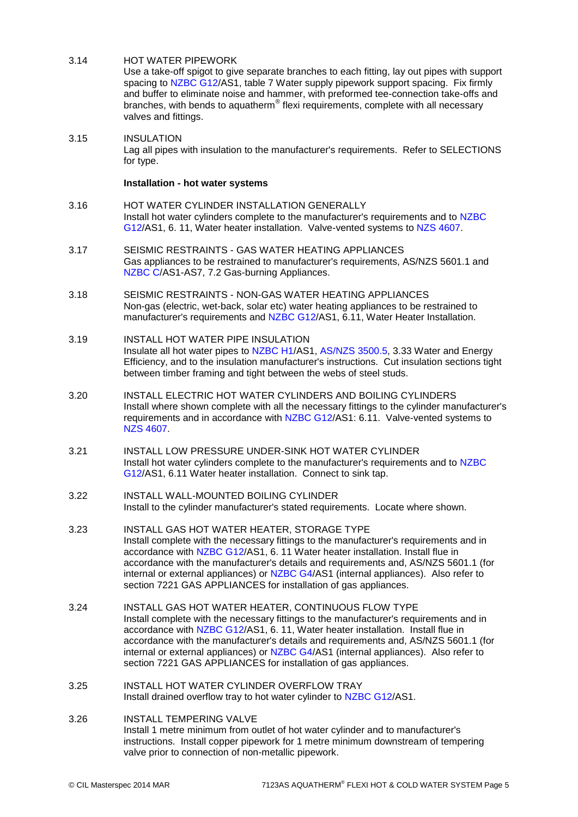### 3.14 HOT WATER PIPEWORK

Use a take-off spigot to give separate branches to each fitting, lay out pipes with support spacing to [NZBC G12/](http://www.masterspec.co.nz/redirect.aspx?pl=254)AS1, table 7 Water supply pipework support spacing. Fix firmly and buffer to eliminate noise and hammer, with preformed tee-connection take-offs and branches, with bends to aquatherm<sup>®</sup> flexi requirements, complete with all necessary valves and fittings.

3.15 INSULATION Lag all pipes with insulation to the manufacturer's requirements. Refer to SELECTIONS for type.

### **Installation - hot water systems**

- 3.16 HOT WATER CYLINDER INSTALLATION GENERALLY Install hot water cylinders complete to the manufacturer's requirements and to [NZBC](http://www.masterspec.co.nz/redirect.aspx?pl=254)  [G12/](http://www.masterspec.co.nz/redirect.aspx?pl=254)AS1, 6. 11, Water heater installation. Valve-vented systems to [NZS 4607.](http://www.masterspec.co.nz/redirect.aspx?pl=1026)
- 3.17 SEISMIC RESTRAINTS GAS WATER HEATING APPLIANCES Gas appliances to be restrained to manufacturer's requirements, AS/NZS 5601.1 and [NZBC C/](http://www.masterspec.co.nz/redirect.aspx?pl=224)AS1-AS7, 7.2 Gas-burning Appliances.
- 3.18 SEISMIC RESTRAINTS NON-GAS WATER HEATING APPLIANCES Non-gas (electric, wet-back, solar etc) water heating appliances to be restrained to manufacturer's requirements and [NZBC G12/](http://www.masterspec.co.nz/redirect.aspx?pl=254)AS1, 6.11, Water Heater Installation.
- 3.19 INSTALL HOT WATER PIPE INSULATION Insulate all hot water pipes to [NZBC H1/](http://www.masterspec.co.nz/redirect.aspx?pl=258)AS1, [AS/NZS 3500.5,](http://www.masterspec.co.nz/redirect.aspx?pl=928) 3.33 Water and Energy Efficiency, and to the insulation manufacturer's instructions. Cut insulation sections tight between timber framing and tight between the webs of steel studs.
- 3.20 INSTALL ELECTRIC HOT WATER CYLINDERS AND BOILING CYLINDERS Install where shown complete with all the necessary fittings to the cylinder manufacturer's requirements and in accordance with [NZBC G12/](http://www.masterspec.co.nz/redirect.aspx?pl=254)AS1: 6.11. Valve-vented systems to [NZS 4607.](http://www.masterspec.co.nz/redirect.aspx?pl=1026)
- 3.21 INSTALL LOW PRESSURE UNDER-SINK HOT WATER CYLINDER Install hot water cylinders complete to the manufacturer's requirements and to [NZBC](http://www.masterspec.co.nz/redirect.aspx?pl=254)  [G12/](http://www.masterspec.co.nz/redirect.aspx?pl=254)AS1, 6.11 Water heater installation. Connect to sink tap.
- 3.22 INSTALL WALL-MOUNTED BOILING CYLINDER Install to the cylinder manufacturer's stated requirements. Locate where shown.
- 3.23 INSTALL GAS HOT WATER HEATER, STORAGE TYPE Install complete with the necessary fittings to the manufacturer's requirements and in accordance with [NZBC G12/](http://www.masterspec.co.nz/redirect.aspx?pl=254)AS1, 6. 11 Water heater installation. Install flue in accordance with the manufacturer's details and requirements and, AS/NZS 5601.1 (for internal or external appliances) or [NZBC G4/](http://www.masterspec.co.nz/redirect.aspx?pl=246)AS1 (internal appliances). Also refer to section 7221 GAS APPLIANCES for installation of gas appliances.
- 3.24 INSTALL GAS HOT WATER HEATER, CONTINUOUS FLOW TYPE Install complete with the necessary fittings to the manufacturer's requirements and in accordance with [NZBC G12/](http://www.masterspec.co.nz/redirect.aspx?pl=254)AS1, 6. 11, Water heater installation. Install flue in accordance with the manufacturer's details and requirements and, AS/NZS 5601.1 (for internal or external appliances) or [NZBC G4/](http://www.masterspec.co.nz/redirect.aspx?pl=246)AS1 (internal appliances). Also refer to section 7221 GAS APPLIANCES for installation of gas appliances.
- 3.25 INSTALL HOT WATER CYLINDER OVERFLOW TRAY Install drained overflow tray to hot water cylinder to [NZBC G12/A](http://www.masterspec.co.nz/redirect.aspx?pl=254)S1.
- 3.26 INSTALL TEMPERING VALVE Install 1 metre minimum from outlet of hot water cylinder and to manufacturer's instructions. Install copper pipework for 1 metre minimum downstream of tempering valve prior to connection of non-metallic pipework.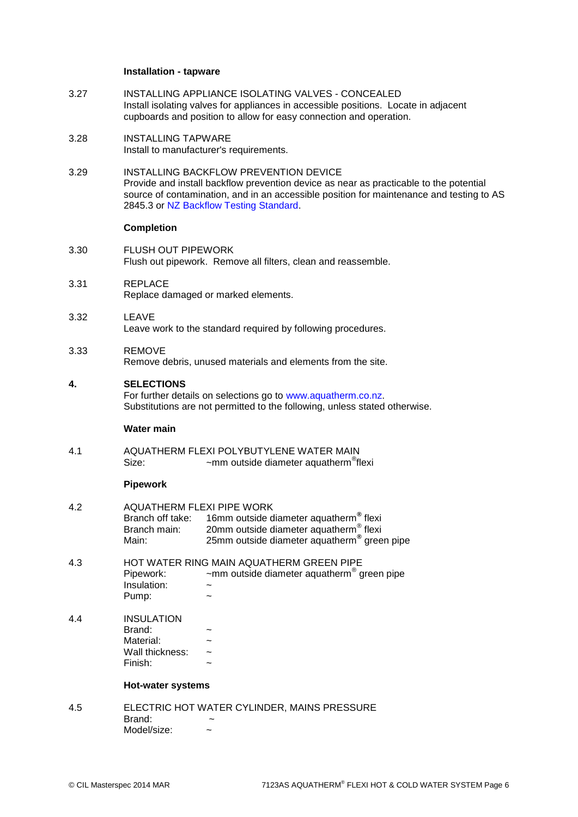#### **Installation - tapware**

- 3.27 INSTALLING APPLIANCE ISOLATING VALVES CONCEALED Install isolating valves for appliances in accessible positions. Locate in adjacent cupboards and position to allow for easy connection and operation.
- 3.28 INSTALLING TAPWARE Install to manufacturer's requirements.
- 3.29 INSTALLING BACKFLOW PREVENTION DEVICE Provide and install backflow prevention device as near as practicable to the potential source of contamination, and in an accessible position for maintenance and testing to AS 2845.3 or [NZ Backflow Testing Standard.](http://www.masterspec.co.nz/redirect.aspx?pl=1241)

## **Completion**

- 3.30 FLUSH OUT PIPEWORK Flush out pipework. Remove all filters, clean and reassemble.
- 3.31 REPLACE Replace damaged or marked elements.
- 3.32 LEAVE Leave work to the standard required by following procedures.

#### 3.33 REMOVE

Remove debris, unused materials and elements from the site.

### **4. SELECTIONS**

For further details on selections go to [www.aquatherm.co.nz.](http://www.aquatherm.co.nz/) Substitutions are not permitted to the following, unless stated otherwise.

#### **Water main**

4.1 AQUATHERM FLEXI POLYBUTYLENE WATER MAIN Size:  $\sim$  mm outside diameter aquatherm<sup>®</sup>flexi

### **Pipework**

| 4.2 | AQUATHERM FLEXI PIPE WORK |                                                                     |  |  |
|-----|---------------------------|---------------------------------------------------------------------|--|--|
|     |                           | Branch off take: 16mm outside diameter aquatherm <sup>®</sup> flexi |  |  |
|     | Branch main:              | 20mm outside diameter aquatherm <sup>®</sup> flexi                  |  |  |
|     | Main:                     | 25mm outside diameter aquatherm <sup>®</sup> green pipe             |  |  |

- 4.3 HOT WATER RING MAIN AQUATHERM GREEN PIPE Pipework:  $\sim$  ~mm outside diameter aquatherm<sup>®</sup> green pipe Insulation: ~ Pump:  $\sim$
- 4.4 INSULATION Brand:
	- Material:  $\sim$ Wall thickness:  $\sim$ Finish:

### **Hot-water systems**

4.5 ELECTRIC HOT WATER CYLINDER, MAINS PRESSURE Brand<sup>.</sup>  $Model/size:$  ~